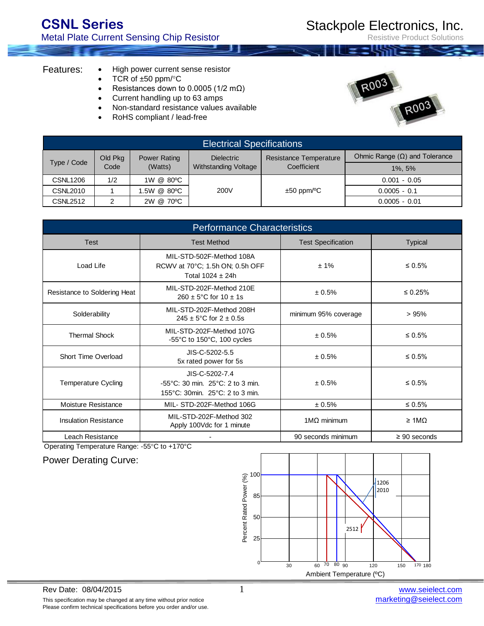Resistive Product Solutions

## Features:

- High power current sense resistor
- TCR of  $\pm 50$  ppm/ $\degree$ C
- Resistances down to 0.0005 ( $1/2$  m $\Omega$ )
- Current handling up to 63 amps
- Non-standard resistance values available
- RoHS compliant / lead-free



| <b>Electrical Specifications</b> |                 |                                |                                           |                              |                                      |  |
|----------------------------------|-----------------|--------------------------------|-------------------------------------------|------------------------------|--------------------------------------|--|
| Type / Code                      | Old Pkg<br>Code | <b>Power Rating</b><br>(Watts) | <b>Dielectric</b><br>Withstanding Voltage | Resistance Temperature       | Ohmic Range $(\Omega)$ and Tolerance |  |
|                                  |                 |                                |                                           | Coefficient                  | $1\%$ , 5%                           |  |
| <b>CSNL1206</b>                  | 1/2             | 1W @ 80°C                      |                                           |                              | $0.001 - 0.05$                       |  |
| <b>CSNL2010</b>                  |                 | .5W @ 80°C                     | 200V                                      | $\pm 50$ ppm/ <sup>o</sup> C | $0.0005 - 0.1$                       |  |
| <b>CSNL2512</b>                  | 2               | 2W @ 70°C                      |                                           |                              | $0.0005 - 0.01$                      |  |

| <b>Performance Characteristics</b> |                                                                                                            |                           |                         |  |  |  |
|------------------------------------|------------------------------------------------------------------------------------------------------------|---------------------------|-------------------------|--|--|--|
| <b>Test</b>                        | <b>Test Method</b>                                                                                         | <b>Test Specification</b> | <b>Typical</b>          |  |  |  |
| Load Life                          | MIL-STD-502F-Method 108A<br>RCWV at 70°C; 1.5h ON; 0.5h OFF<br>Total $1024 \pm 24h$                        | ± 1%                      | $\leq 0.5\%$            |  |  |  |
| Resistance to Soldering Heat       | MIL-STD-202F-Method 210E<br>$260 \pm 5^{\circ}$ C for $10 \pm 1$ s                                         | ± 0.5%                    | $\leq 0.25\%$           |  |  |  |
| Solderability                      | MIL-STD-202F-Method 208H<br>$245 \pm 5^{\circ}$ C for $2 \pm 0.5$ s                                        | minimum 95% coverage      | >95%                    |  |  |  |
| <b>Thermal Shock</b>               | MIL-STD-202F-Method 107G<br>-55 $\degree$ C to 150 $\degree$ C, 100 cycles                                 | ± 0.5%                    | $\leq 0.5\%$            |  |  |  |
| Short Time Overload                | JIS-C-5202-5.5<br>5x rated power for 5s                                                                    | ± 0.5%                    | $\leq 0.5\%$            |  |  |  |
| <b>Temperature Cycling</b>         | JIS-C-5202-7.4<br>$-55^{\circ}$ C: 30 min. 25 $^{\circ}$ C: 2 to 3 min.<br>155°C: 30min. 25°C: 2 to 3 min. | ± 0.5%                    | $\leq 0.5\%$            |  |  |  |
| Moisture Resistance                | MIL- STD-202F-Method 106G                                                                                  | ± 0.5%                    | $\leq 0.5\%$            |  |  |  |
| <b>Insulation Resistance</b>       | MIL-STD-202F-Method 302<br>Apply 100Vdc for 1 minute                                                       | $1\text{M}\Omega$ minimum | $\geq 1 \text{M}\Omega$ |  |  |  |
| Leach Resistance                   |                                                                                                            | 90 seconds minimum        | $\geq 90$ seconds       |  |  |  |

Operating Temperature Range: -55°C to +170°C

Power Derating Curve:

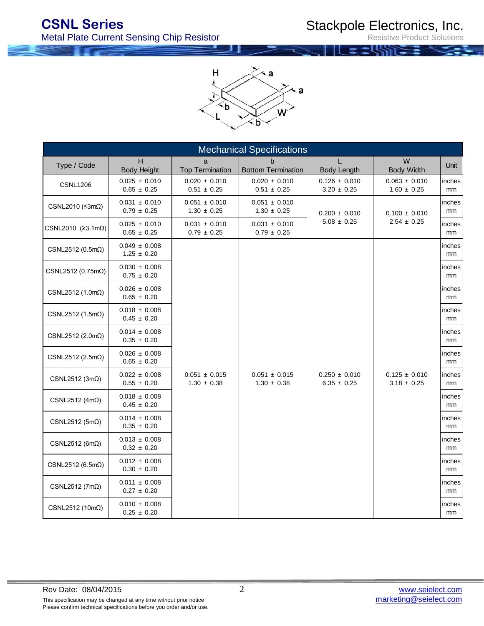Resistive Product Solutions

 $\geq$  a Н ţ ≺a ٠b b

| <b>Mechanical Specifications</b>  |                                      |                                      |                                      |                                      |                                      |                         |  |  |  |
|-----------------------------------|--------------------------------------|--------------------------------------|--------------------------------------|--------------------------------------|--------------------------------------|-------------------------|--|--|--|
| Type / Code                       | H<br><b>Body Height</b>              | a<br><b>Top Termination</b>          | b.<br><b>Bottom Termination</b>      | <b>Body Length</b>                   | W<br><b>Body Width</b>               | Unit                    |  |  |  |
| <b>CSNL1206</b>                   | $0.025 \pm 0.010$<br>$0.65 \pm 0.25$ | $0.020 \pm 0.010$<br>$0.51 \pm 0.25$ | $0.020 \pm 0.010$<br>$0.51 \pm 0.25$ | $0.126 \pm 0.010$<br>$3.20 \pm 0.25$ | $0.063 \pm 0.010$<br>$1.60 \pm 0.25$ | inches<br>mm            |  |  |  |
| CSNL2010 ( $\leq 3m\Omega$ )      | $0.031 \pm 0.010$<br>$0.79 \pm 0.25$ | $0.051 \pm 0.010$<br>$1.30 \pm 0.25$ | $0.051 \pm 0.010$<br>$1.30 \pm 0.25$ | $0.200 \pm 0.010$                    | $0.100 \pm 0.010$                    | inches<br>mm            |  |  |  |
| CSNL2010 ( $\geq$ 3.1m $\Omega$ ) | $0.025 \pm 0.010$<br>$0.65 \pm 0.25$ | $0.031 \pm 0.010$<br>$0.79 \pm 0.25$ | $0.031 \pm 0.010$<br>$0.79 \pm 0.25$ | $5.08 \pm 0.25$                      | $2.54 \pm 0.25$                      | inches<br>mm            |  |  |  |
| CSNL2512 ( $0.5m\Omega$ )         | $0.049 \pm 0.008$<br>$1.25 \pm 0.20$ |                                      |                                      |                                      |                                      | inches<br>mm            |  |  |  |
| CSNL2512 (0.75mΩ)                 | $0.030 \pm 0.008$<br>$0.75 \pm 0.20$ |                                      |                                      |                                      |                                      | inches<br>mm            |  |  |  |
| CSNL2512 $(1.0m\Omega)$           | $0.026 \pm 0.008$<br>$0.65 \pm 0.20$ |                                      |                                      |                                      |                                      | inches<br>mm            |  |  |  |
| CSNL2512 $(1.5m\Omega)$           | $0.018 \pm 0.008$<br>$0.45 \pm 0.20$ |                                      |                                      |                                      |                                      | inches<br>mm            |  |  |  |
| CSNL2512 (2.0m $\Omega$ )         | $0.014 \pm 0.008$<br>$0.35 \pm 0.20$ |                                      |                                      |                                      |                                      | inches<br><sub>mm</sub> |  |  |  |
| CSNL2512 (2.5m $\Omega$ )         | $0.026 \pm 0.008$<br>$0.65 \pm 0.20$ |                                      |                                      |                                      |                                      | inches<br>mm            |  |  |  |
| CSNL2512 $(3m\Omega)$             | $0.022 \pm 0.008$<br>$0.55 \pm 0.20$ | $0.051 \pm 0.015$<br>$1.30 \pm 0.38$ | $0.051 \pm 0.015$<br>$1.30 \pm 0.38$ | $0.250 \pm 0.010$<br>$6.35 \pm 0.25$ | $0.125 \pm 0.010$<br>$3.18 \pm 0.25$ | inches<br>mm            |  |  |  |
| CSNL2512 (4m $\Omega$ )           | $0.018 \pm 0.008$<br>$0.45 \pm 0.20$ |                                      |                                      |                                      |                                      | inches<br>mm            |  |  |  |
| CSNL2512 (5m $\Omega$ )           | $0.014 \pm 0.008$<br>$0.35 \pm 0.20$ |                                      |                                      |                                      |                                      | inches<br>mm            |  |  |  |
| CSNL2512 (6m $\Omega$ )           | $0.013 \pm 0.008$<br>$0.32 \pm 0.20$ |                                      |                                      |                                      |                                      | inches<br>mm            |  |  |  |
| CSNL2512 (6.5m $\Omega$ )         | $0.012 \pm 0.008$<br>$0.30 \pm 0.20$ |                                      |                                      |                                      |                                      | inches<br><sub>mm</sub> |  |  |  |
| CSNL2512 ( $7m\Omega$ )           | $0.011 \pm 0.008$<br>$0.27 \pm 0.20$ |                                      |                                      |                                      |                                      | inches<br>mm            |  |  |  |
| CSNL2512 (10m $\Omega$ )          | $0.010 \pm 0.008$<br>$0.25 \pm 0.20$ |                                      |                                      |                                      |                                      | inches<br>mm            |  |  |  |